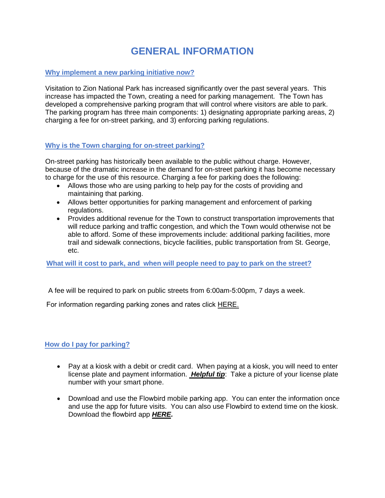## **GENERAL INFORMATION**

## **Why implement a new parking initiative now?**

Visitation to Zion National Park has increased significantly over the past several years. This increase has impacted the Town, creating a need for parking management. The Town has developed a comprehensive parking program that will control where visitors are able to park. The parking program has three main components: 1) designating appropriate parking areas, 2) charging a fee for on-street parking, and 3) enforcing parking regulations.

## **Why is the Town charging for on-street parking?**

On-street parking has historically been available to the public without charge. However, because of the dramatic increase in the demand for on-street parking it has become necessary to charge for the use of this resource. Charging a fee for parking does the following:

- Allows those who are using parking to help pay for the costs of providing and maintaining that parking.
- Allows better opportunities for parking management and enforcement of parking regulations.
- Provides additional revenue for the Town to construct transportation improvements that will reduce parking and traffic congestion, and which the Town would otherwise not be able to afford. Some of these improvements include: additional parking facilities, more trail and sidewalk connections, bicycle facilities, public transportation from St. George, etc.

### **What will it cost to park, and when will people need to pay to park on the street?**

A fee will be required to park on public streets from 6:00am-5:00pm, 7 days a week.

For information regarding parking zones and rates click [HERE.](https://www.springdaletown.com/435/Parking-Rates)

### **How do I pay for parking?**

- Pay at a kiosk with a debit or credit card. When paying at a kiosk, you will need to enter license plate and payment information. *Helpful tip*: Take a picture of your license plate number with your smart phone.
- Download and use the Flowbird mobile parking app. You can enter the information once and use the app for future visits. You can also use Flowbird to extend time on the kiosk. Download the flowbird app *[HERE.](https://www.whooshstore.com/)*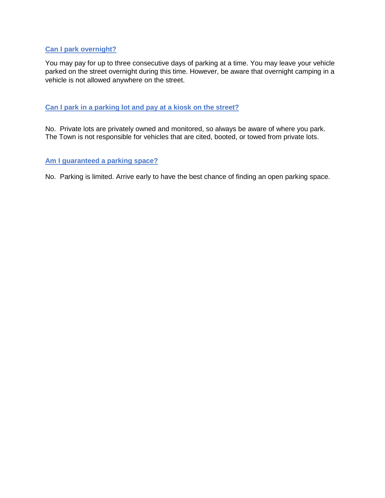## **Can I park overnight?**

You may pay for up to three consecutive days of parking at a time. You may leave your vehicle parked on the street overnight during this time. However, be aware that overnight camping in a vehicle is not allowed anywhere on the street.

#### **Can I park in a parking lot and pay at a kiosk on the street?**

No. Private lots are privately owned and monitored, so always be aware of where you park. The Town is not responsible for vehicles that are cited, booted, or towed from private lots.

#### **Am I guaranteed a parking space?**

No. Parking is limited. Arrive early to have the best chance of finding an open parking space.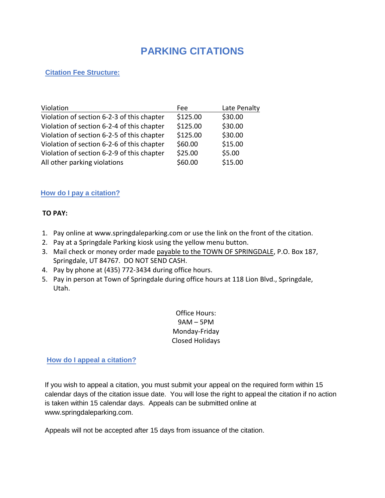# **PARKING CITATIONS**

## **Citation Fee Structure:**

| Violation                                  | Fee      | Late Penalty |
|--------------------------------------------|----------|--------------|
| Violation of section 6-2-3 of this chapter | \$125.00 | \$30.00      |
| Violation of section 6-2-4 of this chapter | \$125.00 | \$30.00      |
| Violation of section 6-2-5 of this chapter | \$125.00 | \$30.00      |
| Violation of section 6-2-6 of this chapter | \$60.00  | \$15.00      |
| Violation of section 6-2-9 of this chapter | \$25.00  | \$5.00       |
| All other parking violations               | \$60.00  | \$15.00      |

## **How do I pay a citation?**

## **TO PAY:**

- 1. Pay online at www.springdaleparking.com or use the link on the front of the citation.
- 2. Pay at a Springdale Parking kiosk using the yellow menu button.
- 3. Mail check or money order made payable to the TOWN OF SPRINGDALE, P.O. Box 187, Springdale, UT 84767. DO NOT SEND CASH.
- 4. Pay by phone at (435) 772-3434 during office hours.
- 5. Pay in person at Town of Springdale during office hours at 118 Lion Blvd., Springdale, Utah.

Office Hours: 9AM – 5PM Monday-Friday Closed Holidays

### **How do I appeal a citation?**

If you wish to appeal a citation, you must submit your appeal on the required form within 15 calendar days of the citation issue date. You will lose the right to appeal the citation if no action is taken within 15 calendar days. Appeals can be submitted online at www.springdaleparking.com.

Appeals will not be accepted after 15 days from issuance of the citation.